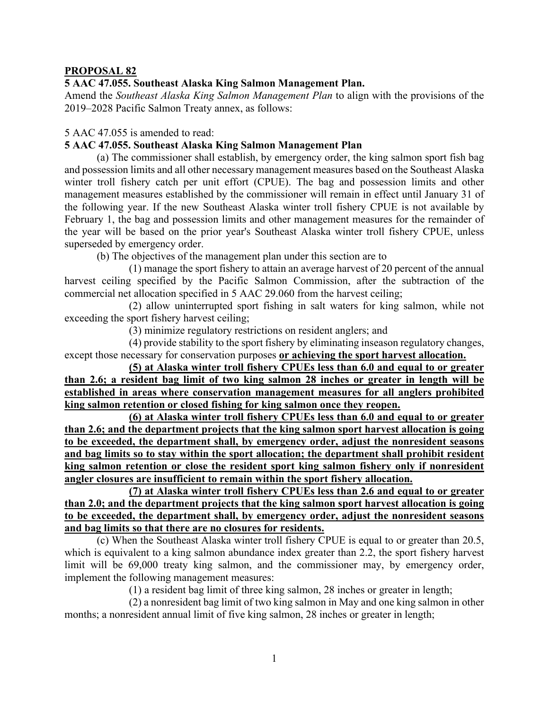### **PROPOSAL 82**

### **5 AAC 47.055. Southeast Alaska King Salmon Management Plan.**

Amend the *Southeast Alaska King Salmon Management Plan* to align with the provisions of the 2019–2028 Pacific Salmon Treaty annex, as follows:

5 AAC 47.055 is amended to read:

### **[5 AAC 47.055. Southeast Alaska King Salmon Management Plan](http://www.akleg.gov/basis/aac.asp#5.47.055)**

(a) The commissioner shall establish, by emergency order, the king salmon sport fish bag and possession limits and all other necessary management measures based on the Southeast Alaska winter troll fishery catch per unit effort (CPUE). The bag and possession limits and other management measures established by the commissioner will remain in effect until January 31 of the following year. If the new Southeast Alaska winter troll fishery CPUE is not available by February 1, the bag and possession limits and other management measures for the remainder of the year will be based on the prior year's Southeast Alaska winter troll fishery CPUE, unless superseded by emergency order.

(b) The objectives of the management plan under this section are to

(1) manage the sport fishery to attain an average harvest of 20 percent of the annual harvest ceiling specified by the Pacific Salmon Commission, after the subtraction of the commercial net allocation specified in [5 AAC 29.060](http://www.akleg.gov/basis/aac.asp#5.29.060) from the harvest ceiling;

(2) allow uninterrupted sport fishing in salt waters for king salmon, while not exceeding the sport fishery harvest ceiling;

(3) minimize regulatory restrictions on resident anglers; and

(4) provide stability to the sport fishery by eliminating inseason regulatory changes, except those necessary for conservation purposes **or achieving the sport harvest allocation.**

**(5) at Alaska winter troll fishery CPUEs less than 6.0 and equal to or greater than 2.6; a resident bag limit of two king salmon 28 inches or greater in length will be established in areas where conservation management measures for all anglers prohibited king salmon retention or closed fishing for king salmon once they reopen.**

**(6) at Alaska winter troll fishery CPUEs less than 6.0 and equal to or greater than 2.6; and the department projects that the king salmon sport harvest allocation is going to be exceeded, the department shall, by emergency order, adjust the nonresident seasons and bag limits so to stay within the sport allocation; the department shall prohibit resident king salmon retention or close the resident sport king salmon fishery only if nonresident angler closures are insufficient to remain within the sport fishery allocation.**

**(7) at Alaska winter troll fishery CPUEs less than 2.6 and equal to or greater than 2.0; and the department projects that the king salmon sport harvest allocation is going to be exceeded, the department shall, by emergency order, adjust the nonresident seasons and bag limits so that there are no closures for residents.**

(c) When the Southeast Alaska winter troll fishery CPUE is equal to or greater than 20.5, which is equivalent to a king salmon abundance index greater than 2.2, the sport fishery harvest limit will be 69,000 treaty king salmon, and the commissioner may, by emergency order, implement the following management measures:

(1) a resident bag limit of three king salmon, 28 inches or greater in length;

(2) a nonresident bag limit of two king salmon in May and one king salmon in other months; a nonresident annual limit of five king salmon, 28 inches or greater in length;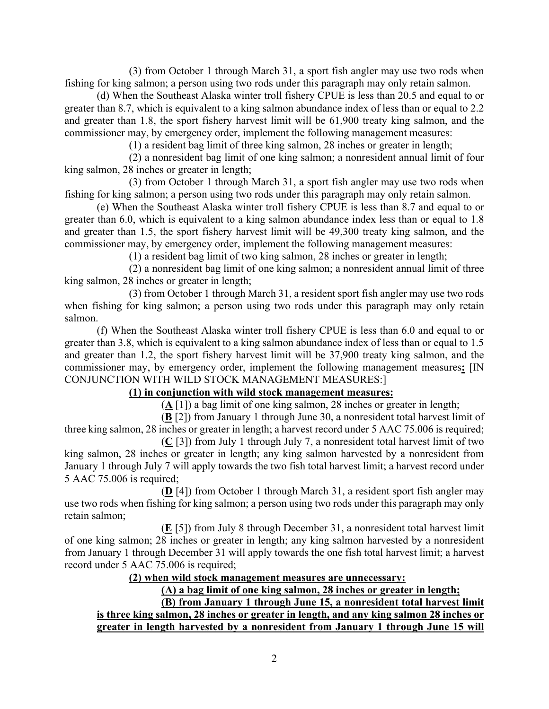(3) from October 1 through March 31, a sport fish angler may use two rods when fishing for king salmon; a person using two rods under this paragraph may only retain salmon.

(d) When the Southeast Alaska winter troll fishery CPUE is less than 20.5 and equal to or greater than 8.7, which is equivalent to a king salmon abundance index of less than or equal to 2.2 and greater than 1.8, the sport fishery harvest limit will be 61,900 treaty king salmon, and the commissioner may, by emergency order, implement the following management measures:

(1) a resident bag limit of three king salmon, 28 inches or greater in length;

(2) a nonresident bag limit of one king salmon; a nonresident annual limit of four king salmon, 28 inches or greater in length;

(3) from October 1 through March 31, a sport fish angler may use two rods when fishing for king salmon; a person using two rods under this paragraph may only retain salmon.

(e) When the Southeast Alaska winter troll fishery CPUE is less than 8.7 and equal to or greater than 6.0, which is equivalent to a king salmon abundance index less than or equal to 1.8 and greater than 1.5, the sport fishery harvest limit will be 49,300 treaty king salmon, and the commissioner may, by emergency order, implement the following management measures:

(1) a resident bag limit of two king salmon, 28 inches or greater in length;

(2) a nonresident bag limit of one king salmon; a nonresident annual limit of three king salmon, 28 inches or greater in length;

(3) from October 1 through March 31, a resident sport fish angler may use two rods when fishing for king salmon; a person using two rods under this paragraph may only retain salmon.

(f) When the Southeast Alaska winter troll fishery CPUE is less than 6.0 and equal to or greater than 3.8, which is equivalent to a king salmon abundance index of less than or equal to 1.5 and greater than 1.2, the sport fishery harvest limit will be 37,900 treaty king salmon, and the commissioner may, by emergency order, implement the following management measures**:** [IN CONJUNCTION WITH WILD STOCK MANAGEMENT MEASURES:]

# **(1) in conjunction with wild stock management measures:**

(**A** [1]) a bag limit of one king salmon, 28 inches or greater in length;

(**B** [2]) from January 1 through June 30, a nonresident total harvest limit of three king salmon, 28 inches or greater in length; a harvest record under [5 AAC 75.006](http://www.akleg.gov/basis/aac.asp#5.75.006) is required;

(**C** [3]) from July 1 through July 7, a nonresident total harvest limit of two king salmon, 28 inches or greater in length; any king salmon harvested by a nonresident from January 1 through July 7 will apply towards the two fish total harvest limit; a harvest record under [5 AAC 75.006](http://www.akleg.gov/basis/aac.asp#5.75.006) is required;

(**D** [4]) from October 1 through March 31, a resident sport fish angler may use two rods when fishing for king salmon; a person using two rods under this paragraph may only retain salmon;

(**E** [5]) from July 8 through December 31, a nonresident total harvest limit of one king salmon; 28 inches or greater in length; any king salmon harvested by a nonresident from January 1 through December 31 will apply towards the one fish total harvest limit; a harvest record under [5 AAC 75.006](http://www.akleg.gov/basis/aac.asp#5.75.006) is required;

# **(2) when wild stock management measures are unnecessary:**

**(A) a bag limit of one king salmon, 28 inches or greater in length;**

**(B) from January 1 through June 15, a nonresident total harvest limit is three king salmon, 28 inches or greater in length, and any king salmon 28 inches or greater in length harvested by a nonresident from January 1 through June 15 will**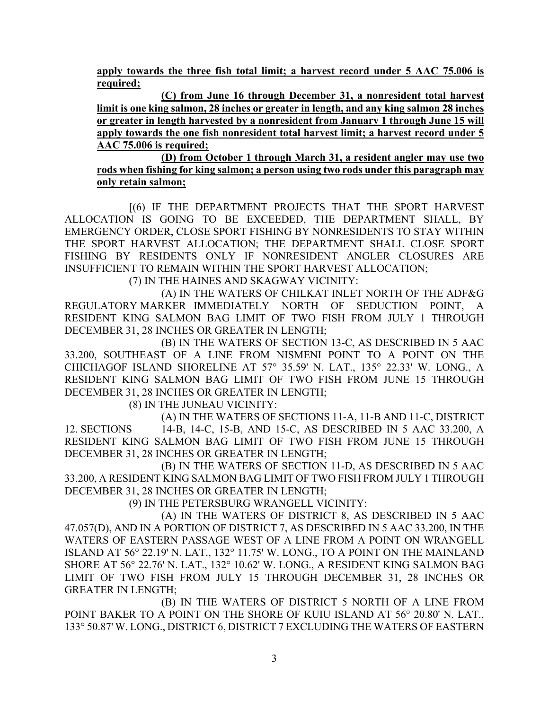**apply towards the three fish total limit; a harvest record under 5 AAC 75.006 is required;**

**(C) from June 16 through December 31, a nonresident total harvest limit is one king salmon, 28 inches or greater in length, and any king salmon 28 inches or greater in length harvested by a nonresident from January 1 through June 15 will apply towards the one fish nonresident total harvest limit; a harvest record under 5 AAC 75.006 is required;**

**(D) from October 1 through March 31, a resident angler may use two rods when fishing for king salmon; a person using two rods under this paragraph may only retain salmon;**

[(6) IF THE DEPARTMENT PROJECTS THAT THE SPORT HARVEST ALLOCATION IS GOING TO BE EXCEEDED, THE DEPARTMENT SHALL, BY EMERGENCY ORDER, CLOSE SPORT FISHING BY NONRESIDENTS TO STAY WITHIN THE SPORT HARVEST ALLOCATION; THE DEPARTMENT SHALL CLOSE SPORT FISHING BY RESIDENTS ONLY IF NONRESIDENT ANGLER CLOSURES ARE INSUFFICIENT TO REMAIN WITHIN THE SPORT HARVEST ALLOCATION;

(7) IN THE HAINES AND SKAGWAY VICINITY:

(A) IN THE WATERS OF CHILKAT INLET NORTH OF THE ADF&G REGULATORY MARKER IMMEDIATELY NORTH OF SEDUCTION POINT, A RESIDENT KING SALMON BAG LIMIT OF TWO FISH FROM JULY 1 THROUGH DECEMBER 31, 28 INCHES OR GREATER IN LENGTH;

(B) IN THE WATERS OF SECTION 13-C, AS DESCRIBED IN [5 AAC](http://www.akleg.gov/basis/aac.asp#5.33.200)  [33.200,](http://www.akleg.gov/basis/aac.asp#5.33.200) SOUTHEAST OF A LINE FROM NISMENI POINT TO A POINT ON THE CHICHAGOF ISLAND SHORELINE AT 57° 35.59' N. LAT., 135° 22.33' W. LONG., A RESIDENT KING SALMON BAG LIMIT OF TWO FISH FROM JUNE 15 THROUGH DECEMBER 31, 28 INCHES OR GREATER IN LENGTH;

(8) IN THE JUNEAU VICINITY:

(A) IN THE WATERS OF SECTIONS 11-A, 11-B AND 11-C, DISTRICT 12. SECTIONS 14-B, 14-C, 15-B, AND 15-C, AS DESCRIBED IN [5 AAC 33.200,](http://www.akleg.gov/basis/aac.asp#5.33.200) A RESIDENT KING SALMON BAG LIMIT OF TWO FISH FROM JUNE 15 THROUGH DECEMBER 31, 28 INCHES OR GREATER IN LENGTH;

(B) IN THE WATERS OF SECTION 11-D, AS DESCRIBED IN [5 AAC](http://www.akleg.gov/basis/aac.asp#5.33.200)  [33.200,](http://www.akleg.gov/basis/aac.asp#5.33.200) A RESIDENT KING SALMON BAG LIMIT OF TWO FISH FROM JULY 1 THROUGH DECEMBER 31, 28 INCHES OR GREATER IN LENGTH;

(9) IN THE PETERSBURG WRANGELL VICINITY:

(A) IN THE WATERS OF DISTRICT 8, AS DESCRIBED IN [5 AAC](http://www.akleg.gov/basis/aac.asp#5.47.057)  [47.057\(](http://www.akleg.gov/basis/aac.asp#5.47.057)D), AND IN A PORTION OF DISTRICT 7, AS DESCRIBED IN [5 AAC 33.200,](http://www.akleg.gov/basis/aac.asp#5.33.200) IN THE WATERS OF EASTERN PASSAGE WEST OF A LINE FROM A POINT ON WRANGELL ISLAND AT 56° 22.19' N. LAT., 132° 11.75' W. LONG., TO A POINT ON THE MAINLAND SHORE AT 56° 22.76' N. LAT., 132° 10.62' W. LONG., A RESIDENT KING SALMON BAG LIMIT OF TWO FISH FROM JULY 15 THROUGH DECEMBER 31, 28 INCHES OR GREATER IN LENGTH;

(B) IN THE WATERS OF DISTRICT 5 NORTH OF A LINE FROM POINT BAKER TO A POINT ON THE SHORE OF KUIU ISLAND AT 56° 20.80' N. LAT., 133° 50.87' W. LONG., DISTRICT 6, DISTRICT 7 EXCLUDING THE WATERS OF EASTERN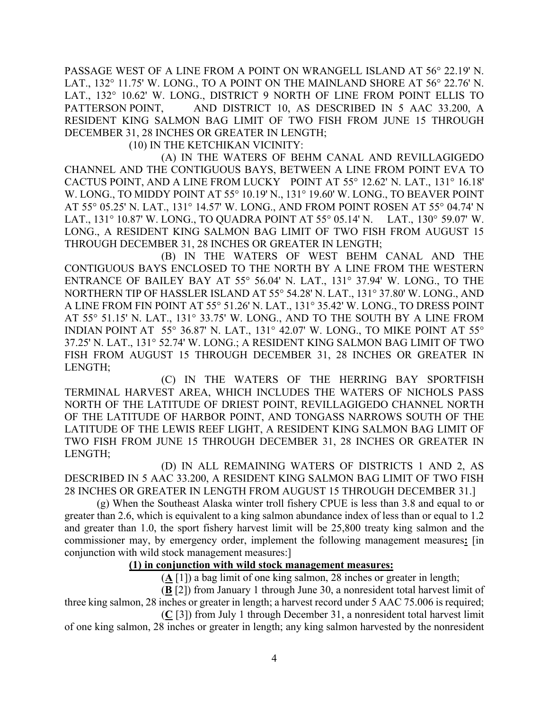PASSAGE WEST OF A LINE FROM A POINT ON WRANGELL ISLAND AT 56° 22.19' N. LAT., 132° 11.75' W. LONG., TO A POINT ON THE MAINLAND SHORE AT 56° 22.76' N. LAT., 132° 10.62' W. LONG., DISTRICT 9 NORTH OF LINE FROM POINT ELLIS TO PATTERSON POINT, AND DISTRICT 10, AS DESCRIBED IN [5 AAC 33.200,](http://www.akleg.gov/basis/aac.asp#5.33.200) A RESIDENT KING SALMON BAG LIMIT OF TWO FISH FROM JUNE 15 THROUGH DECEMBER 31, 28 INCHES OR GREATER IN LENGTH;

(10) IN THE KETCHIKAN VICINITY:

(A) IN THE WATERS OF BEHM CANAL AND REVILLAGIGEDO CHANNEL AND THE CONTIGUOUS BAYS, BETWEEN A LINE FROM POINT EVA TO CACTUS POINT, AND A LINE FROM LUCKY POINT AT 55° 12.62' N. LAT., 131° 16.18' W. LONG., TO MIDDY POINT AT 55° 10.19' N., 131° 19.60' W. LONG., TO BEAVER POINT AT 55° 05.25' N. LAT., 131° 14.57' W. LONG., AND FROM POINT ROSEN AT 55° 04.74' N LAT., 131° 10.87' W. LONG., TO QUADRA POINT AT 55° 05.14' N. LAT., 130° 59.07' W. LONG., A RESIDENT KING SALMON BAG LIMIT OF TWO FISH FROM AUGUST 15 THROUGH DECEMBER 31, 28 INCHES OR GREATER IN LENGTH;

(B) IN THE WATERS OF WEST BEHM CANAL AND THE CONTIGUOUS BAYS ENCLOSED TO THE NORTH BY A LINE FROM THE WESTERN ENTRANCE OF BAILEY BAY AT 55° 56.04' N. LAT., 131° 37.94' W. LONG., TO THE NORTHERN TIP OF HASSLER ISLAND AT 55° 54.28' N. LAT., 131° 37.80' W. LONG., AND A LINE FROM FIN POINT AT 55° 51.26' N. LAT., 131° 35.42' W. LONG., TO DRESS POINT AT 55° 51.15' N. LAT., 131° 33.75' W. LONG., AND TO THE SOUTH BY A LINE FROM INDIAN POINT AT 55° 36.87' N. LAT., 131° 42.07' W. LONG., TO MIKE POINT AT 55° 37.25' N. LAT., 131° 52.74' W. LONG.; A RESIDENT KING SALMON BAG LIMIT OF TWO FISH FROM AUGUST 15 THROUGH DECEMBER 31, 28 INCHES OR GREATER IN LENGTH;

(C) IN THE WATERS OF THE HERRING BAY SPORTFISH TERMINAL HARVEST AREA, WHICH INCLUDES THE WATERS OF NICHOLS PASS NORTH OF THE LATITUDE OF DRIEST POINT, REVILLAGIGEDO CHANNEL NORTH OF THE LATITUDE OF HARBOR POINT, AND TONGASS NARROWS SOUTH OF THE LATITUDE OF THE LEWIS REEF LIGHT, A RESIDENT KING SALMON BAG LIMIT OF TWO FISH FROM JUNE 15 THROUGH DECEMBER 31, 28 INCHES OR GREATER IN LENGTH;

(D) IN ALL REMAINING WATERS OF DISTRICTS 1 AND 2, AS DESCRIBED IN [5 AAC 33.200,](http://www.akleg.gov/basis/aac.asp#5.33.200) A RESIDENT KING SALMON BAG LIMIT OF TWO FISH 28 INCHES OR GREATER IN LENGTH FROM AUGUST 15 THROUGH DECEMBER 31.]

(g) When the Southeast Alaska winter troll fishery CPUE is less than 3.8 and equal to or greater than 2.6, which is equivalent to a king salmon abundance index of less than or equal to 1.2 and greater than 1.0, the sport fishery harvest limit will be 25,800 treaty king salmon and the commissioner may, by emergency order, implement the following management measures**:** [in conjunction with wild stock management measures:]

### **(1) in conjunction with wild stock management measures:**

(**A** [1]) a bag limit of one king salmon, 28 inches or greater in length;

(**B** [2]) from January 1 through June 30, a nonresident total harvest limit of three king salmon, 28 inches or greater in length; a harvest record under [5 AAC 75.006](http://www.akleg.gov/basis/aac.asp#5.75.006) is required;

(**C** [3]) from July 1 through December 31, a nonresident total harvest limit of one king salmon, 28 inches or greater in length; any king salmon harvested by the nonresident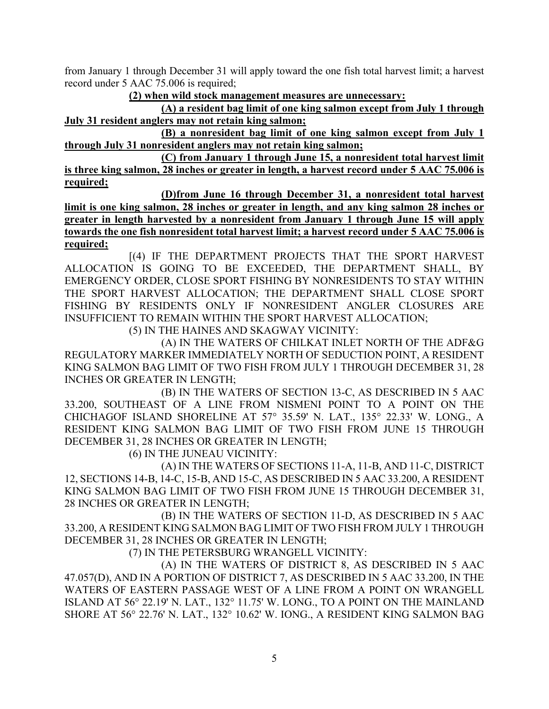from January 1 through December 31 will apply toward the one fish total harvest limit; a harvest record under [5 AAC 75.006](http://www.akleg.gov/basis/aac.asp#5.75.006) is required;

**(2) when wild stock management measures are unnecessary:**

**(A) a resident bag limit of one king salmon except from July 1 through July 31 resident anglers may not retain king salmon;**

**(B) a nonresident bag limit of one king salmon except from July 1 through July 31 nonresident anglers may not retain king salmon;**

**(C) from January 1 through June 15, a nonresident total harvest limit is three king salmon, 28 inches or greater in length, a harvest record under [5 AAC 75.006](http://www.akleg.gov/basis/aac.asp#5.75.006) is required;**

**(D)from June 16 through December 31, a nonresident total harvest limit is one king salmon, 28 inches or greater in length, and any king salmon 28 inches or greater in length harvested by a nonresident from January 1 through June 15 will apply towards the one fish nonresident total harvest limit; a harvest record under [5 AAC 75.006](http://www.akleg.gov/basis/aac.asp#5.75.006) is required;**

[(4) IF THE DEPARTMENT PROJECTS THAT THE SPORT HARVEST ALLOCATION IS GOING TO BE EXCEEDED, THE DEPARTMENT SHALL, BY EMERGENCY ORDER, CLOSE SPORT FISHING BY NONRESIDENTS TO STAY WITHIN THE SPORT HARVEST ALLOCATION; THE DEPARTMENT SHALL CLOSE SPORT FISHING BY RESIDENTS ONLY IF NONRESIDENT ANGLER CLOSURES ARE INSUFFICIENT TO REMAIN WITHIN THE SPORT HARVEST ALLOCATION;

(5) IN THE HAINES AND SKAGWAY VICINITY:

(A) IN THE WATERS OF CHILKAT INLET NORTH OF THE ADF&G REGULATORY MARKER IMMEDIATELY NORTH OF SEDUCTION POINT, A RESIDENT KING SALMON BAG LIMIT OF TWO FISH FROM JULY 1 THROUGH DECEMBER 31, 28 INCHES OR GREATER IN LENGTH;

(B) IN THE WATERS OF SECTION 13-C, AS DESCRIBED IN [5 AAC](http://www.akleg.gov/basis/aac.asp#5.33.200)  [33.200,](http://www.akleg.gov/basis/aac.asp#5.33.200) SOUTHEAST OF A LINE FROM NISMENI POINT TO A POINT ON THE CHICHAGOF ISLAND SHORELINE AT 57° 35.59' N. LAT., 135° 22.33' W. LONG., A RESIDENT KING SALMON BAG LIMIT OF TWO FISH FROM JUNE 15 THROUGH DECEMBER 31, 28 INCHES OR GREATER IN LENGTH;

(6) IN THE JUNEAU VICINITY:

(A) IN THE WATERS OF SECTIONS 11-A, 11-B, AND 11-C, DISTRICT 12, SECTIONS 14-B, 14-C, 15-B, AND 15-C, AS DESCRIBED I[N 5 AAC 33.200,](http://www.akleg.gov/basis/aac.asp#5.33.200) A RESIDENT KING SALMON BAG LIMIT OF TWO FISH FROM JUNE 15 THROUGH DECEMBER 31, 28 INCHES OR GREATER IN LENGTH;

(B) IN THE WATERS OF SECTION 11-D, AS DESCRIBED IN [5 AAC](http://www.akleg.gov/basis/aac.asp#5.33.200)  [33.200,](http://www.akleg.gov/basis/aac.asp#5.33.200) A RESIDENT KING SALMON BAG LIMIT OF TWO FISH FROM JULY 1 THROUGH DECEMBER 31, 28 INCHES OR GREATER IN LENGTH;

(7) IN THE PETERSBURG WRANGELL VICINITY:

(A) IN THE WATERS OF DISTRICT 8, AS DESCRIBED IN [5 AAC](http://www.akleg.gov/basis/aac.asp#5.47.057)  [47.057\(](http://www.akleg.gov/basis/aac.asp#5.47.057)D), AND IN A PORTION OF DISTRICT 7, AS DESCRIBED IN [5 AAC 33.200,](http://www.akleg.gov/basis/aac.asp#5.33.200) IN THE WATERS OF EASTERN PASSAGE WEST OF A LINE FROM A POINT ON WRANGELL ISLAND AT 56° 22.19' N. LAT., 132° 11.75' W. LONG., TO A POINT ON THE MAINLAND SHORE AT 56° 22.76' N. LAT., 132° 10.62' W. IONG., A RESIDENT KING SALMON BAG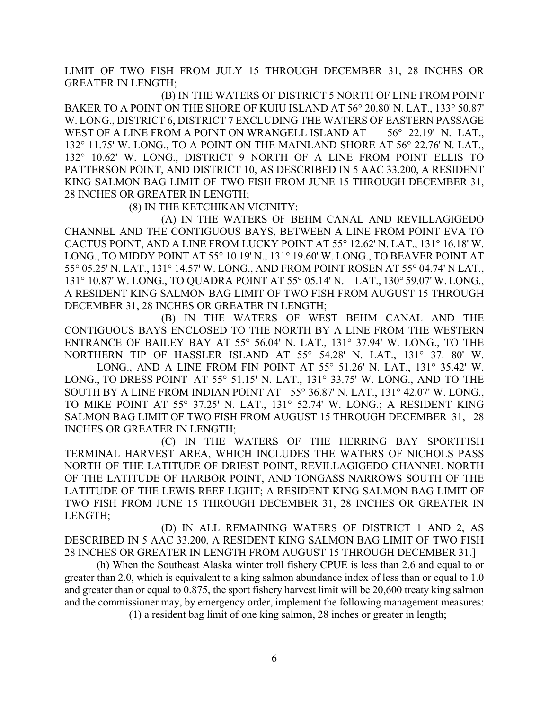LIMIT OF TWO FISH FROM JULY 15 THROUGH DECEMBER 31, 28 INCHES OR GREATER IN LENGTH;

(B) IN THE WATERS OF DISTRICT 5 NORTH OF LINE FROM POINT BAKER TO A POINT ON THE SHORE OF KUIU ISLAND AT 56° 20.80' N. LAT., 133° 50.87' W. LONG., DISTRICT 6, DISTRICT 7 EXCLUDING THE WATERS OF EASTERN PASSAGE WEST OF A LINE FROM A POINT ON WRANGELL ISLAND AT 56° 22.19' N. LAT., 132° 11.75' W. LONG., TO A POINT ON THE MAINLAND SHORE AT 56° 22.76' N. LAT., 132° 10.62' W. LONG., DISTRICT 9 NORTH OF A LINE FROM POINT ELLIS TO PATTERSON POINT, AND DISTRICT 10, AS DESCRIBED IN [5 AAC 33.200,](http://www.akleg.gov/basis/aac.asp#5.33.200) A RESIDENT KING SALMON BAG LIMIT OF TWO FISH FROM JUNE 15 THROUGH DECEMBER 31, 28 INCHES OR GREATER IN LENGTH;

(8) IN THE KETCHIKAN VICINITY:

(A) IN THE WATERS OF BEHM CANAL AND REVILLAGIGEDO CHANNEL AND THE CONTIGUOUS BAYS, BETWEEN A LINE FROM POINT EVA TO CACTUS POINT, AND A LINE FROM LUCKY POINT AT 55° 12.62' N. LAT., 131° 16.18' W. LONG., TO MIDDY POINT AT 55° 10.19' N., 131° 19.60' W. LONG., TO BEAVER POINT AT 55° 05.25' N. LAT., 131° 14.57' W. LONG., AND FROM POINT ROSEN AT 55° 04.74' N LAT., 131° 10.87' W. LONG., TO QUADRA POINT AT 55° 05.14' N. LAT., 130° 59.07' W. LONG., A RESIDENT KING SALMON BAG LIMIT OF TWO FISH FROM AUGUST 15 THROUGH DECEMBER 31, 28 INCHES OR GREATER IN LENGTH;

(B) IN THE WATERS OF WEST BEHM CANAL AND THE CONTIGUOUS BAYS ENCLOSED TO THE NORTH BY A LINE FROM THE WESTERN ENTRANCE OF BAILEY BAY AT 55° 56.04' N. LAT., 131° 37.94' W. LONG., TO THE NORTHERN TIP OF HASSLER ISLAND AT 55° 54.28' N. LAT., 131° 37. 80' W.

LONG., AND A LINE FROM FIN POINT AT 55° 51.26' N. LAT., 131° 35.42' W. LONG., TO DRESS POINT AT 55° 51.15' N. LAT., 131° 33.75' W. LONG., AND TO THE SOUTH BY A LINE FROM INDIAN POINT AT 55° 36.87' N. LAT., 131° 42.07' W. LONG., TO MIKE POINT AT 55° 37.25' N. LAT., 131° 52.74' W. LONG.; A RESIDENT KING SALMON BAG LIMIT OF TWO FISH FROM AUGUST 15 THROUGH DECEMBER 31, 28 INCHES OR GREATER IN LENGTH;

(C) IN THE WATERS OF THE HERRING BAY SPORTFISH TERMINAL HARVEST AREA, WHICH INCLUDES THE WATERS OF NICHOLS PASS NORTH OF THE LATITUDE OF DRIEST POINT, REVILLAGIGEDO CHANNEL NORTH OF THE LATITUDE OF HARBOR POINT, AND TONGASS NARROWS SOUTH OF THE LATITUDE OF THE LEWIS REEF LIGHT; A RESIDENT KING SALMON BAG LIMIT OF TWO FISH FROM JUNE 15 THROUGH DECEMBER 31, 28 INCHES OR GREATER IN LENGTH;

(D) IN ALL REMAINING WATERS OF DISTRICT 1 AND 2, AS DESCRIBED IN [5 AAC 33.200,](http://www.akleg.gov/basis/aac.asp#5.33.200) A RESIDENT KING SALMON BAG LIMIT OF TWO FISH 28 INCHES OR GREATER IN LENGTH FROM AUGUST 15 THROUGH DECEMBER 31.]

(h) When the Southeast Alaska winter troll fishery CPUE is less than 2.6 and equal to or greater than 2.0, which is equivalent to a king salmon abundance index of less than or equal to 1.0 and greater than or equal to 0.875, the sport fishery harvest limit will be 20,600 treaty king salmon and the commissioner may, by emergency order, implement the following management measures:

(1) a resident bag limit of one king salmon, 28 inches or greater in length;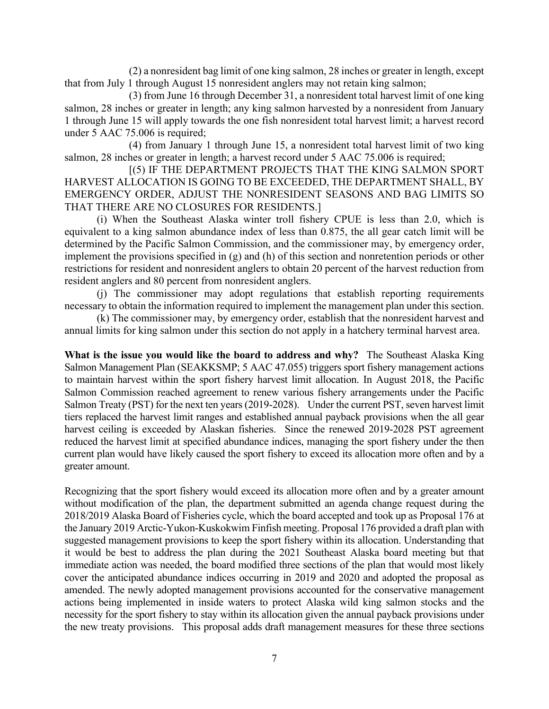(2) a nonresident bag limit of one king salmon, 28 inches or greater in length, except that from July 1 through August 15 nonresident anglers may not retain king salmon;

(3) from June 16 through December 31, a nonresident total harvest limit of one king salmon, 28 inches or greater in length; any king salmon harvested by a nonresident from January 1 through June 15 will apply towards the one fish nonresident total harvest limit; a harvest record under [5 AAC 75.006](http://www.akleg.gov/basis/aac.asp#5.75.006) is required;

(4) from January 1 through June 15, a nonresident total harvest limit of two king salmon, 28 inches or greater in length; a harvest record under [5 AAC 75.006](http://www.akleg.gov/basis/aac.asp#5.75.006) is required;

[(5) IF THE DEPARTMENT PROJECTS THAT THE KING SALMON SPORT HARVEST ALLOCATION IS GOING TO BE EXCEEDED, THE DEPARTMENT SHALL, BY EMERGENCY ORDER, ADJUST THE NONRESIDENT SEASONS AND BAG LIMITS SO THAT THERE ARE NO CLOSURES FOR RESIDENTS.]

(i) When the Southeast Alaska winter troll fishery CPUE is less than 2.0, which is equivalent to a king salmon abundance index of less than 0.875, the all gear catch limit will be determined by the Pacific Salmon Commission, and the commissioner may, by emergency order, implement the provisions specified in (g) and (h) of this section and nonretention periods or other restrictions for resident and nonresident anglers to obtain 20 percent of the harvest reduction from resident anglers and 80 percent from nonresident anglers.

(j) The commissioner may adopt regulations that establish reporting requirements necessary to obtain the information required to implement the management plan under this section.

(k) The commissioner may, by emergency order, establish that the nonresident harvest and annual limits for king salmon under this section do not apply in a hatchery terminal harvest area.

**What is the issue you would like the board to address and why?** The Southeast Alaska King Salmon Management Plan (SEAKKSMP; 5 AAC 47.055) triggers sport fishery management actions to maintain harvest within the sport fishery harvest limit allocation. In August 2018, the Pacific Salmon Commission reached agreement to renew various fishery arrangements under the Pacific Salmon Treaty (PST) for the next ten years (2019-2028). Under the current PST, seven harvest limit tiers replaced the harvest limit ranges and established annual payback provisions when the all gear harvest ceiling is exceeded by Alaskan fisheries. Since the renewed 2019-2028 PST agreement reduced the harvest limit at specified abundance indices, managing the sport fishery under the then current plan would have likely caused the sport fishery to exceed its allocation more often and by a greater amount.

Recognizing that the sport fishery would exceed its allocation more often and by a greater amount without modification of the plan, the department submitted an agenda change request during the 2018/2019 Alaska Board of Fisheries cycle, which the board accepted and took up as Proposal 176 at the January 2019 Arctic-Yukon-Kuskokwim Finfish meeting. Proposal 176 provided a draft plan with suggested management provisions to keep the sport fishery within its allocation. Understanding that it would be best to address the plan during the 2021 Southeast Alaska board meeting but that immediate action was needed, the board modified three sections of the plan that would most likely cover the anticipated abundance indices occurring in 2019 and 2020 and adopted the proposal as amended. The newly adopted management provisions accounted for the conservative management actions being implemented in inside waters to protect Alaska wild king salmon stocks and the necessity for the sport fishery to stay within its allocation given the annual payback provisions under the new treaty provisions. This proposal adds draft management measures for these three sections